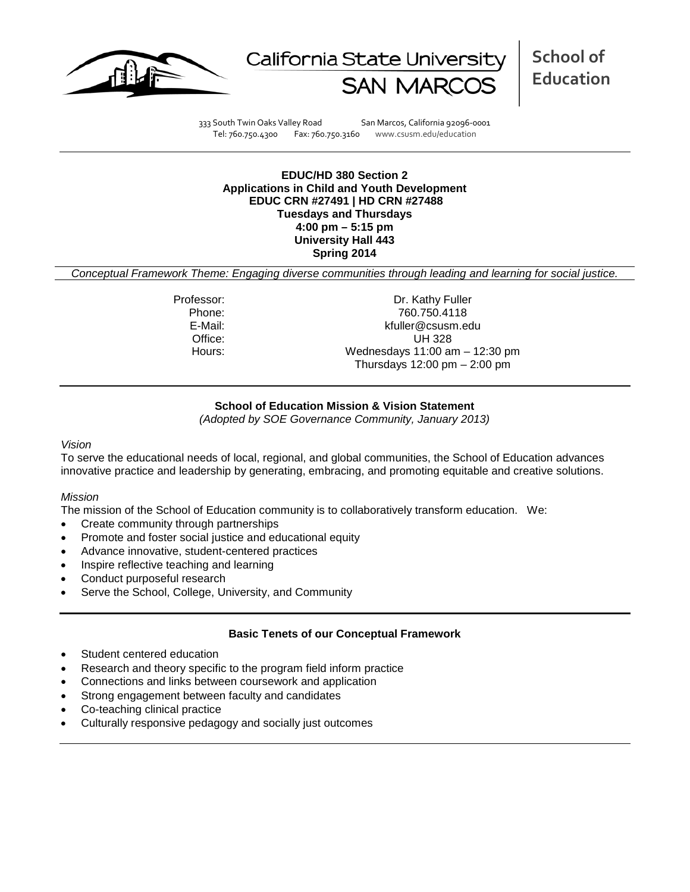



**School of Education**

333 South Twin Oaks Valley Road San Marcos, California 92096-0001 Tel: 760.750.4300 Fax: 760.750.3160 www.csusm.edu/education

**EDUC/HD 380 Section 2 Applications in Child and Youth Development EDUC CRN #27491 | HD CRN #27488 Tuesdays and Thursdays 4:00 pm – 5:15 pm University Hall 443 Spring 2014** 

*Conceptual Framework Theme: Engaging diverse communities through leading and learning for social justice.*

Professor: Dr. Kathy Fuller Phone: 760.750.4118<br>E-Mail: 760.750.4118<br>E-Mail: 760.750.4118 kfuller@csusm.edu Office: UH 328 Hours: Wednesdays 11:00 am – 12:30 pm Thursdays  $12:00 \text{ pm} - 2:00 \text{ pm}$ 

### **School of Education Mission & Vision Statement**

*(Adopted by SOE Governance Community, January 2013)*

#### *Vision*

To serve the educational needs of local, regional, and global communities, the School of Education advances innovative practice and leadership by generating, embracing, and promoting equitable and creative solutions.

#### *Mission*

The mission of the School of Education community is to collaboratively transform education. We:

- Create community through partnerships
- Promote and foster social justice and educational equity
- Advance innovative, student-centered practices
- Inspire reflective teaching and learning
- Conduct purposeful research
- Serve the School, College, University, and Community

### **Basic Tenets of our Conceptual Framework**

- Student centered education
- Research and theory specific to the program field inform practice
- Connections and links between coursework and application
- Strong engagement between faculty and candidates
- Co-teaching clinical practice
- Culturally responsive pedagogy and socially just outcomes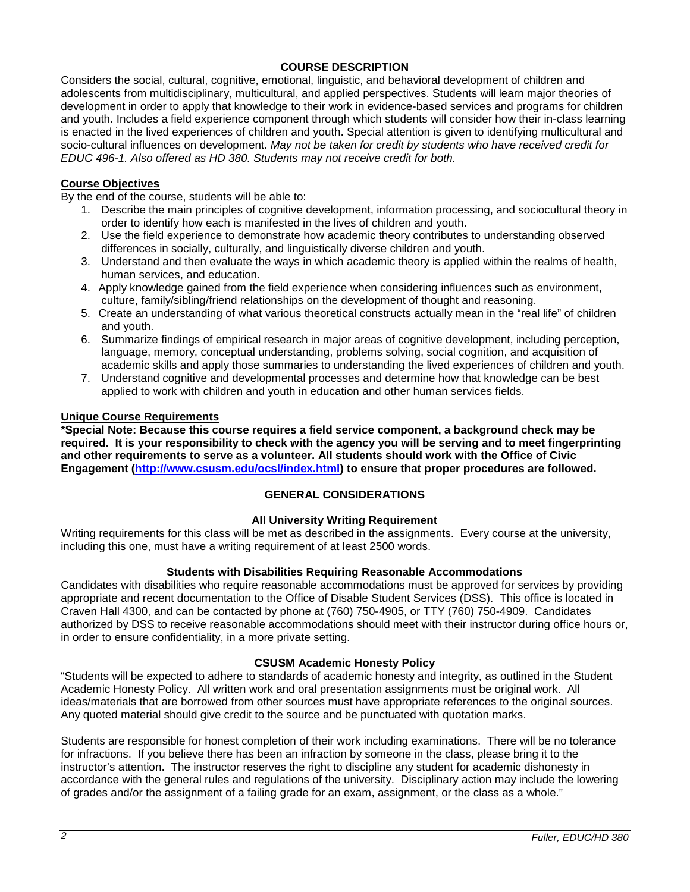## **COURSE DESCRIPTION**

Considers the social, cultural, cognitive, emotional, linguistic, and behavioral development of children and adolescents from multidisciplinary, multicultural, and applied perspectives. Students will learn major theories of development in order to apply that knowledge to their work in evidence-based services and programs for children and youth. Includes a field experience component through which students will consider how their in-class learning is enacted in the lived experiences of children and youth. Special attention is given to identifying multicultural and socio-cultural influences on development. *May not be taken for credit by students who have received credit for EDUC 496-1. Also offered as HD 380. Students may not receive credit for both.*

### **Course Objectives**

By the end of the course, students will be able to:

- 1. Describe the main principles of cognitive development, information processing, and sociocultural theory in order to identify how each is manifested in the lives of children and youth.
- 2. Use the field experience to demonstrate how academic theory contributes to understanding observed differences in socially, culturally, and linguistically diverse children and youth.
- 3. Understand and then evaluate the ways in which academic theory is applied within the realms of health, human services, and education.
- 4. Apply knowledge gained from the field experience when considering influences such as environment, culture, family/sibling/friend relationships on the development of thought and reasoning.
- 5. Create an understanding of what various theoretical constructs actually mean in the "real life" of children and youth.
- 6. Summarize findings of empirical research in major areas of cognitive development, including perception, language, memory, conceptual understanding, problems solving, social cognition, and acquisition of academic skills and apply those summaries to understanding the lived experiences of children and youth.
- 7. Understand cognitive and developmental processes and determine how that knowledge can be best applied to work with children and youth in education and other human services fields.

### **Unique Course Requirements**

**\*Special Note: Because this course requires a field service component, a background check may be required. It is your responsibility to check with the agency you will be serving and to meet fingerprinting and other requirements to serve as a volunteer. All students should work with the Office of Civic Engagement [\(http://www.csusm.edu/ocsl/index.html\)](http://www.csusm.edu/ocsl/index.html) to ensure that proper procedures are followed.**

### **GENERAL CONSIDERATIONS**

### **All University Writing Requirement**

Writing requirements for this class will be met as described in the assignments. Every course at the university, including this one, must have a writing requirement of at least 2500 words.

### **Students with Disabilities Requiring Reasonable Accommodations**

Candidates with disabilities who require reasonable accommodations must be approved for services by providing appropriate and recent documentation to the Office of Disable Student Services (DSS). This office is located in Craven Hall 4300, and can be contacted by phone at (760) 750-4905, or TTY (760) 750-4909. Candidates authorized by DSS to receive reasonable accommodations should meet with their instructor during office hours or, in order to ensure confidentiality, in a more private setting.

### **CSUSM Academic Honesty Policy**

"Students will be expected to adhere to standards of academic honesty and integrity, as outlined in the Student Academic Honesty Policy. All written work and oral presentation assignments must be original work. All ideas/materials that are borrowed from other sources must have appropriate references to the original sources. Any quoted material should give credit to the source and be punctuated with quotation marks.

Students are responsible for honest completion of their work including examinations. There will be no tolerance for infractions. If you believe there has been an infraction by someone in the class, please bring it to the instructor's attention. The instructor reserves the right to discipline any student for academic dishonesty in accordance with the general rules and regulations of the university. Disciplinary action may include the lowering of grades and/or the assignment of a failing grade for an exam, assignment, or the class as a whole."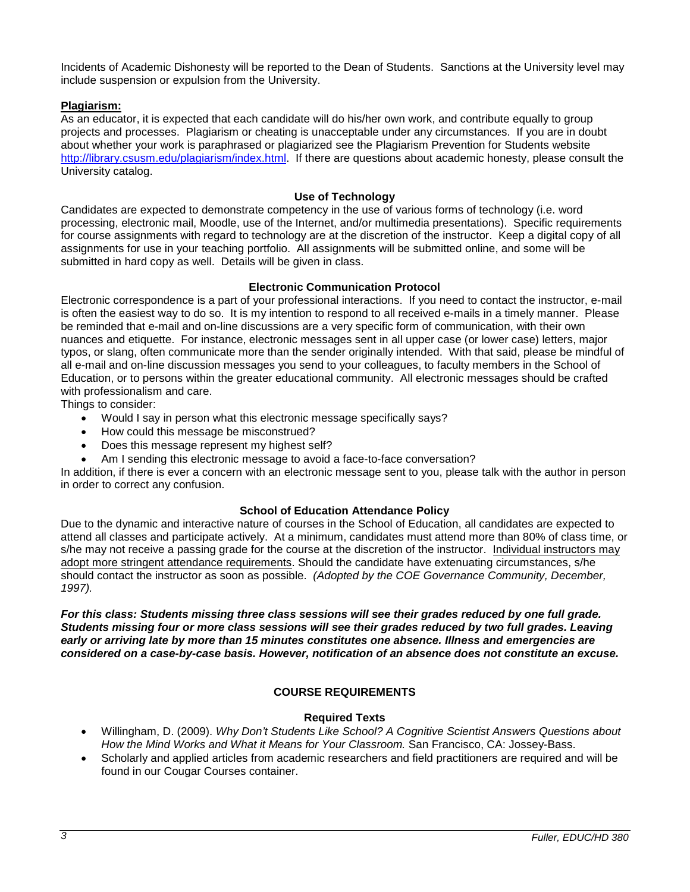Incidents of Academic Dishonesty will be reported to the Dean of Students. Sanctions at the University level may include suspension or expulsion from the University.

## **Plagiarism:**

As an educator, it is expected that each candidate will do his/her own work, and contribute equally to group projects and processes. Plagiarism or cheating is unacceptable under any circumstances. If you are in doubt about whether your work is paraphrased or plagiarized see the Plagiarism Prevention for Students website [http://library.csusm.edu/plagiarism/index.html.](http://library.csusm.edu/plagiarism/index.html) If there are questions about academic honesty, please consult the University catalog.

## **Use of Technology**

Candidates are expected to demonstrate competency in the use of various forms of technology (i.e. word processing, electronic mail, Moodle, use of the Internet, and/or multimedia presentations). Specific requirements for course assignments with regard to technology are at the discretion of the instructor. Keep a digital copy of all assignments for use in your teaching portfolio. All assignments will be submitted online, and some will be submitted in hard copy as well. Details will be given in class.

### **Electronic Communication Protocol**

Electronic correspondence is a part of your professional interactions. If you need to contact the instructor, e-mail is often the easiest way to do so. It is my intention to respond to all received e-mails in a timely manner. Please be reminded that e-mail and on-line discussions are a very specific form of communication, with their own nuances and etiquette. For instance, electronic messages sent in all upper case (or lower case) letters, major typos, or slang, often communicate more than the sender originally intended. With that said, please be mindful of all e-mail and on-line discussion messages you send to your colleagues, to faculty members in the School of Education, or to persons within the greater educational community. All electronic messages should be crafted with professionalism and care.

Things to consider:

- Would I say in person what this electronic message specifically says?
- How could this message be misconstrued?
- Does this message represent my highest self?
- Am I sending this electronic message to avoid a face-to-face conversation?

In addition, if there is ever a concern with an electronic message sent to you, please talk with the author in person in order to correct any confusion.

### **School of Education Attendance Policy**

Due to the dynamic and interactive nature of courses in the School of Education, all candidates are expected to attend all classes and participate actively. At a minimum, candidates must attend more than 80% of class time, or s/he may not receive a passing grade for the course at the discretion of the instructor. Individual instructors may adopt more stringent attendance requirements. Should the candidate have extenuating circumstances, s/he should contact the instructor as soon as possible. *(Adopted by the COE Governance Community, December, 1997).*

*For this class: Students missing three class sessions will see their grades reduced by one full grade. Students missing four or more class sessions will see their grades reduced by two full grades. Leaving early or arriving late by more than 15 minutes constitutes one absence. Illness and emergencies are considered on a case-by-case basis. However, notification of an absence does not constitute an excuse.* 

## **COURSE REQUIREMENTS**

### **Required Texts**

- Willingham, D. (2009). *Why Don't Students Like School? A Cognitive Scientist Answers Questions about How the Mind Works and What it Means for Your Classroom.* San Francisco, CA: Jossey-Bass.
- Scholarly and applied articles from academic researchers and field practitioners are required and will be found in our Cougar Courses container.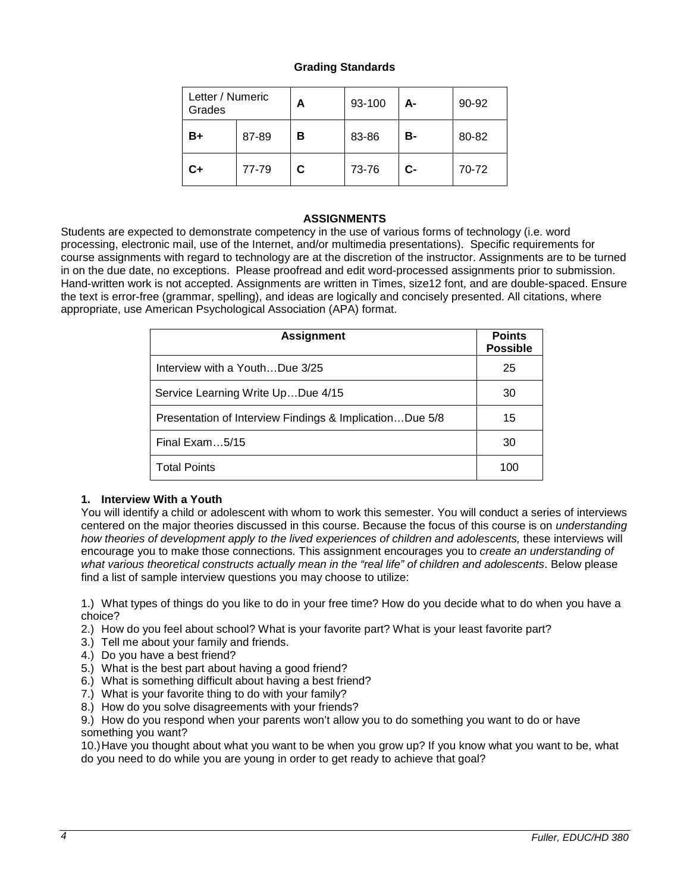## **Grading Standards**

| Letter / Numeric<br>Grades |       | Α | 93-100 | А- | 90-92 |
|----------------------------|-------|---|--------|----|-------|
| B+                         | 87-89 | В | 83-86  | В- | 80-82 |
| C+                         | 77-79 | C | 73-76  | C- | 70-72 |

## **ASSIGNMENTS**

Students are expected to demonstrate competency in the use of various forms of technology (i.e. word processing, electronic mail, use of the Internet, and/or multimedia presentations). Specific requirements for course assignments with regard to technology are at the discretion of the instructor. Assignments are to be turned in on the due date, no exceptions. Please proofread and edit word-processed assignments prior to submission. Hand-written work is not accepted. Assignments are written in Times, size12 font, and are double-spaced. Ensure the text is error-free (grammar, spelling), and ideas are logically and concisely presented. All citations, where appropriate, use American Psychological Association (APA) format.

| <b>Assignment</b>                                       | <b>Points</b><br><b>Possible</b> |
|---------------------------------------------------------|----------------------------------|
| Interview with a YouthDue 3/25                          | 25                               |
| Service Learning Write UpDue 4/15                       | 30                               |
| Presentation of Interview Findings & ImplicationDue 5/8 | 15                               |
| Final Exam $5/15$                                       | 30                               |
| <b>Total Points</b>                                     | 100                              |

## **1. Interview With a Youth**

You will identify a child or adolescent with whom to work this semester. You will conduct a series of interviews centered on the major theories discussed in this course. Because the focus of this course is on *understanding how theories of development apply to the lived experiences of children and adolescents, these interviews will* encourage you to make those connections*.* This assignment encourages you to *create an understanding of what various theoretical constructs actually mean in the "real life" of children and adolescents*. Below please find a list of sample interview questions you may choose to utilize:

1.) What types of things do you like to do in your free time? How do you decide what to do when you have a choice?

- 2.) How do you feel about school? What is your favorite part? What is your least favorite part?
- 3.) Tell me about your family and friends.
- 4.) Do you have a best friend?
- 5.) What is the best part about having a good friend?
- 6.) What is something difficult about having a best friend?
- 7.) What is your favorite thing to do with your family?
- 8.) How do you solve disagreements with your friends?

9.) How do you respond when your parents won't allow you to do something you want to do or have something you want?

10.)Have you thought about what you want to be when you grow up? If you know what you want to be, what do you need to do while you are young in order to get ready to achieve that goal?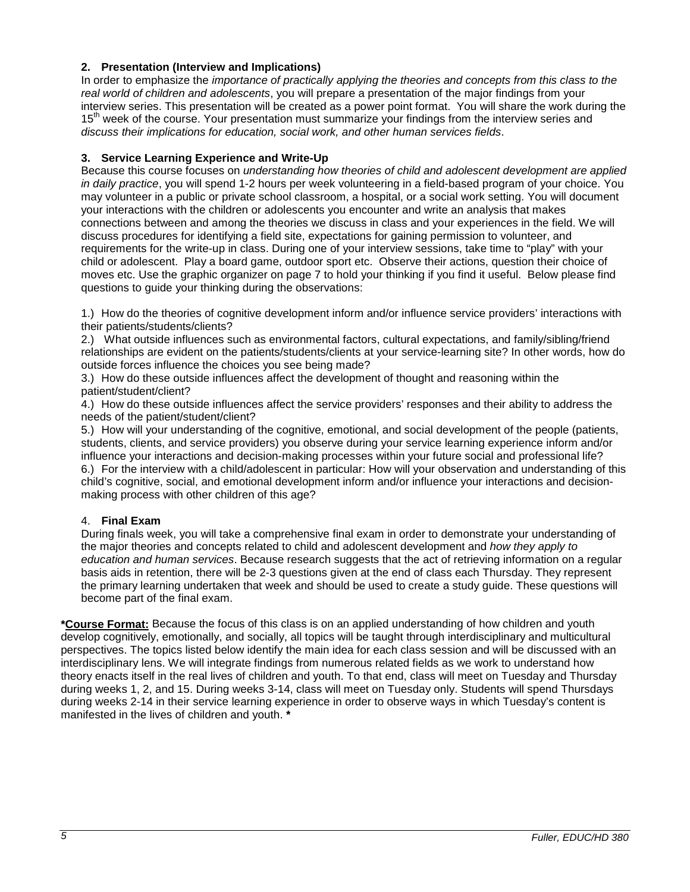## **2. Presentation (Interview and Implications)**

In order to emphasize the *importance of practically applying the theories and concepts from this class to the real world of children and adolescents*, you will prepare a presentation of the major findings from your interview series. This presentation will be created as a power point format. You will share the work during the  $15<sup>th</sup>$  week of the course. Your presentation must summarize your findings from the interview series and *discuss their implications for education, social work, and other human services fields*.

## **3. Service Learning Experience and Write-Up**

Because this course focuses on *understanding how theories of child and adolescent development are applied in daily practice*, you will spend 1-2 hours per week volunteering in a field-based program of your choice. You may volunteer in a public or private school classroom, a hospital, or a social work setting. You will document your interactions with the children or adolescents you encounter and write an analysis that makes connections between and among the theories we discuss in class and your experiences in the field. We will discuss procedures for identifying a field site, expectations for gaining permission to volunteer, and requirements for the write-up in class. During one of your interview sessions, take time to "play" with your child or adolescent. Play a board game, outdoor sport etc. Observe their actions, question their choice of moves etc. Use the graphic organizer on page 7 to hold your thinking if you find it useful. Below please find questions to guide your thinking during the observations:

1.) How do the theories of cognitive development inform and/or influence service providers' interactions with their patients/students/clients?

2.) What outside influences such as environmental factors, cultural expectations, and family/sibling/friend relationships are evident on the patients/students/clients at your service-learning site? In other words, how do outside forces influence the choices you see being made?

3.) How do these outside influences affect the development of thought and reasoning within the patient/student/client?

4.) How do these outside influences affect the service providers' responses and their ability to address the needs of the patient/student/client?

5.) How will your understanding of the cognitive, emotional, and social development of the people (patients, students, clients, and service providers) you observe during your service learning experience inform and/or influence your interactions and decision-making processes within your future social and professional life? 6.) For the interview with a child/adolescent in particular: How will your observation and understanding of this child's cognitive, social, and emotional development inform and/or influence your interactions and decisionmaking process with other children of this age?

## 4. **Final Exam**

During finals week, you will take a comprehensive final exam in order to demonstrate your understanding of the major theories and concepts related to child and adolescent development and *how they apply to education and human services*. Because research suggests that the act of retrieving information on a regular basis aids in retention, there will be 2-3 questions given at the end of class each Thursday. They represent the primary learning undertaken that week and should be used to create a study guide. These questions will become part of the final exam.

**\*Course Format:** Because the focus of this class is on an applied understanding of how children and youth develop cognitively, emotionally, and socially, all topics will be taught through interdisciplinary and multicultural perspectives. The topics listed below identify the main idea for each class session and will be discussed with an interdisciplinary lens. We will integrate findings from numerous related fields as we work to understand how theory enacts itself in the real lives of children and youth. To that end, class will meet on Tuesday and Thursday during weeks 1, 2, and 15. During weeks 3-14, class will meet on Tuesday only. Students will spend Thursdays during weeks 2-14 in their service learning experience in order to observe ways in which Tuesday's content is manifested in the lives of children and youth. **\***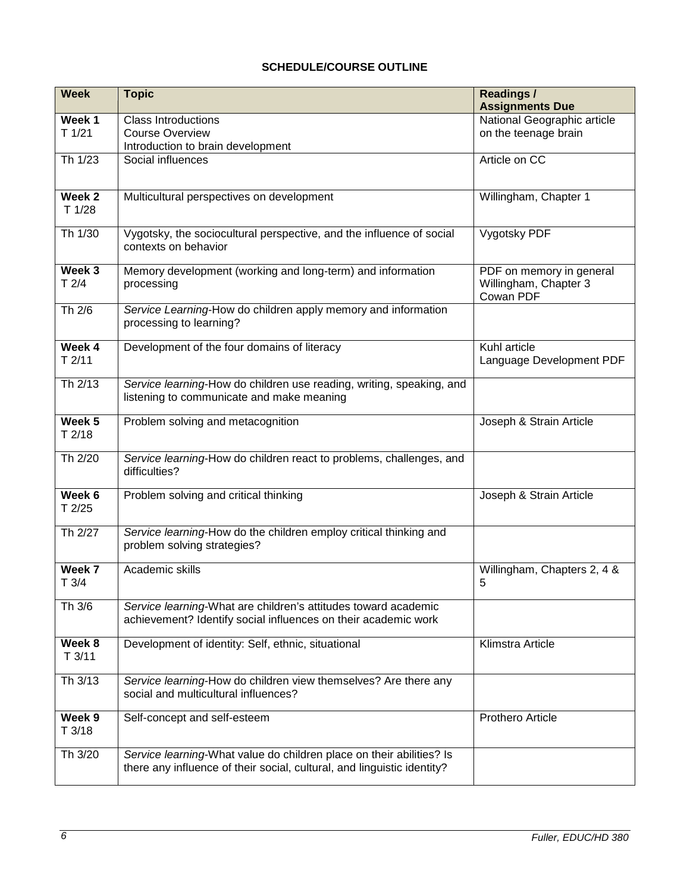# **SCHEDULE/COURSE OUTLINE**

| <b>Week</b>                 | <b>Topic</b>                                                                                                                                    | Readings /<br><b>Assignments Due</b>                           |
|-----------------------------|-------------------------------------------------------------------------------------------------------------------------------------------------|----------------------------------------------------------------|
| Week 1<br>T1/21             | <b>Class Introductions</b><br><b>Course Overview</b><br>Introduction to brain development                                                       | National Geographic article<br>on the teenage brain            |
| Th 1/23                     | Social influences                                                                                                                               | Article on CC                                                  |
| Week <sub>2</sub><br>T 1/28 | Multicultural perspectives on development                                                                                                       | Willingham, Chapter 1                                          |
| Th 1/30                     | Vygotsky, the sociocultural perspective, and the influence of social<br>contexts on behavior                                                    | Vygotsky PDF                                                   |
| Week 3<br>T2/4              | Memory development (working and long-term) and information<br>processing                                                                        | PDF on memory in general<br>Willingham, Chapter 3<br>Cowan PDF |
| Th 2/6                      | Service Learning-How do children apply memory and information<br>processing to learning?                                                        |                                                                |
| Week 4<br>T2/11             | Development of the four domains of literacy                                                                                                     | Kuhl article<br>Language Development PDF                       |
| Th 2/13                     | Service learning-How do children use reading, writing, speaking, and<br>listening to communicate and make meaning                               |                                                                |
| Week 5<br>T2/18             | Problem solving and metacognition                                                                                                               | Joseph & Strain Article                                        |
| Th 2/20                     | Service learning-How do children react to problems, challenges, and<br>difficulties?                                                            |                                                                |
| Week 6<br>T2/25             | Problem solving and critical thinking                                                                                                           | Joseph & Strain Article                                        |
| Th 2/27                     | Service learning-How do the children employ critical thinking and<br>problem solving strategies?                                                |                                                                |
| Week 7<br>T3/4              | Academic skills                                                                                                                                 | Willingham, Chapters 2, 4 &<br>5                               |
| Th 3/6                      | Service learning-What are children's attitudes toward academic<br>achievement? Identify social influences on their academic work                |                                                                |
| Week $8$<br>T3/11           | Development of identity: Self, ethnic, situational                                                                                              | Klimstra Article                                               |
| Th 3/13                     | Service learning-How do children view themselves? Are there any<br>social and multicultural influences?                                         |                                                                |
| Week 9<br>T3/18             | Self-concept and self-esteem                                                                                                                    | Prothero Article                                               |
| Th 3/20                     | Service learning-What value do children place on their abilities? Is<br>there any influence of their social, cultural, and linguistic identity? |                                                                |